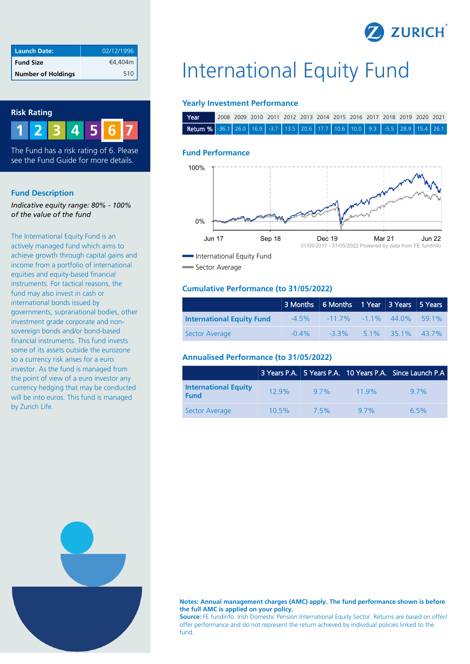

| <b>Launch Date:</b>       | 02/12/1996 |
|---------------------------|------------|
| <b>Fund Size</b>          | €4,404m    |
| <b>Number of Holdings</b> | 510        |

#### **Risk Rating**



The Fund has a risk rating of 6. Please see the Fund Guide for more details.

#### **Fund Description**

*Indicative equity range: 80% - 100% of the value of the fund*

The International Equity Fund is an actively managed fund which aims to achieve growth through capital gains and income from a portfolio of international equities and equity-based financial instruments. For tactical reasons, the fund may also invest in cash or international bonds issued by governments, supranational bodies, other investment grade corporate and nonsovereign bonds and/or bond-based financial instruments. This fund invests some of its assets outside the eurozone so a currency risk arises for a euro investor. As the fund is managed from the point of view of a euro investor any currency hedging that may be conducted will be into euros. This fund is managed by Zurich Life.

# International Equity Fund

#### **Yearly Investment Performance**

| Year                                                                        | 2008 2009 2010 2011 2012 2013 2014 2015 2016 2017 2018 2019 2020 2021 |  |  |  |  |  |  |
|-----------------------------------------------------------------------------|-----------------------------------------------------------------------|--|--|--|--|--|--|
| Return % 36.1 26.0 16.9 3.7 13.5 20.6 17.7 10.6 10.0 9.3 3.5 28.9 15.4 26.1 |                                                                       |  |  |  |  |  |  |

#### **Fund Performance**



Sector Average

#### **Cumulative Performance (to 31/05/2022)**

|                                  | 3 Months 6 Months 1 Year 3 Years 5 Years |                                            |                     |  |
|----------------------------------|------------------------------------------|--------------------------------------------|---------------------|--|
| <b>International Equity Fund</b> |                                          | $-4.5\%$ $-11.7\%$ $-1.1\%$ $44.0\%$ 59.1% |                     |  |
| Sector Average                   | $-0.4\%$                                 | $-3.3\%$                                   | $5.1\%$ 35.1% 43.7% |  |

#### **Annualised Performance (to 31/05/2022)**

|                                            |          |        |      | 3 Years P.A. 5 Years P.A. 10 Years P.A. Since Launch P.A |
|--------------------------------------------|----------|--------|------|----------------------------------------------------------|
| <b>International Equity</b><br><b>Fund</b> | 129%     | $97\%$ | 119% | 97%                                                      |
| Sector Average                             | $10.5\%$ | 7.5%   | 97%  | $6.5\%$                                                  |



**Notes: Annual management charges (AMC) apply. The fund performance shown is before the full AMC is applied on your policy.**

**Source:** FE fundinfo. Irish Domestic Pension International Equity Sector. Returns are based on offer/ offer performance and do not represent the return achieved by individual policies linked to the fund.